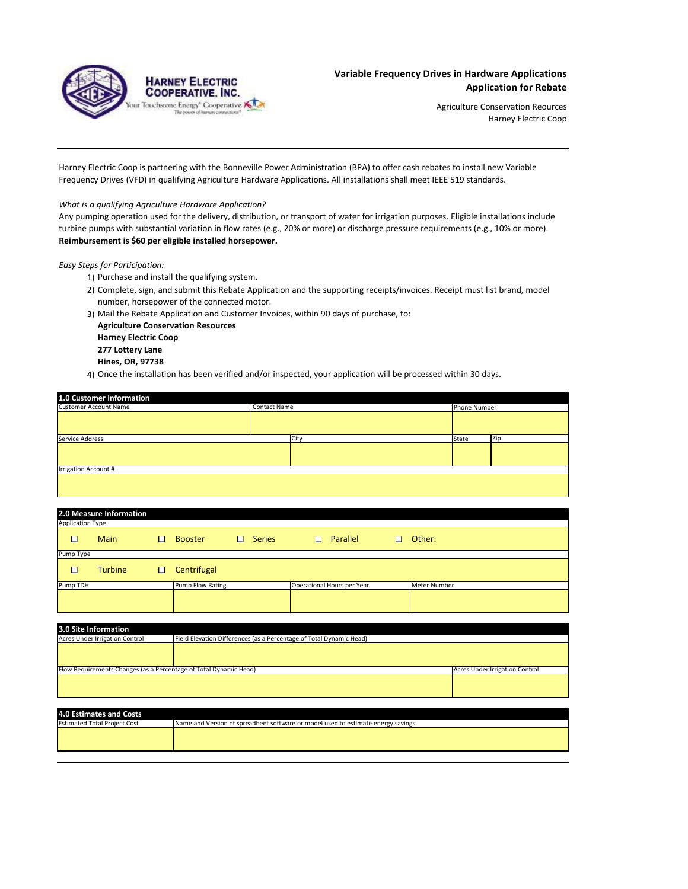

Agriculture Conservation Reources Harney Electric Coop

Harney Electric Coop is partnering with the Bonneville Power Administration (BPA) to offer cash rebates to install new Variable Frequency Drives (VFD) in qualifying Agriculture Hardware Applications. All installations shall meet IEEE 519 standards.

## *What is a qualifying Agriculture Hardware Application?*

Any pumping operation used for the delivery, distribution, or transport of water for irrigation purposes. Eligible installations include turbine pumps with substantial variation in flow rates (e.g., 20% or more) or discharge pressure requirements (e.g., 10% or more). **Reimbursement is \$60 per eligible installed horsepower.** 

*Easy Steps for Participation:*

- 1) Purchase and install the qualifying system.
- 2) Complete, sign, and submit this Rebate Application and the supporting receipts/invoices. Receipt must list brand, model number, horsepower of the connected motor.
- 3) Mail the Rebate Application and Customer Invoices, within 90 days of purchase, to:

**Agriculture Conservation Resources Harney Electric Coop 277 Lottery Lane Hines, OR, 97738**

4) Once the installation has been verified and/or inspected, your application will be processed within 30 days.

| 1.0 Customer Information     |                     |       |              |  |
|------------------------------|---------------------|-------|--------------|--|
| <b>Customer Account Name</b> | <b>Contact Name</b> |       | Phone Number |  |
|                              |                     |       |              |  |
| Service Address              | City                | State | Zip          |  |
|                              |                     |       |              |  |
| <b>Irrigation Account #</b>  |                     |       |              |  |
|                              |                     |       |              |  |

|                         | 2.0 Measure Information |   |                  |   |               |                            |        |              |
|-------------------------|-------------------------|---|------------------|---|---------------|----------------------------|--------|--------------|
| <b>Application Type</b> |                         |   |                  |   |               |                            |        |              |
| □                       | <b>Main</b>             | □ | <b>Booster</b>   | ш | <b>Series</b> | $\Box$<br>Parallel         | $\Box$ | Other:       |
| Pump Type               |                         |   |                  |   |               |                            |        |              |
| $\overline{\Box}$       | <b>Turbine</b>          | O | Centrifugal      |   |               |                            |        |              |
| Pump TDH                |                         |   | Pump Flow Rating |   |               | Operational Hours per Year |        | Meter Number |
|                         |                         |   |                  |   |               |                            |        |              |

| 3.0 Site Information                                                                                         |  |                                |  |
|--------------------------------------------------------------------------------------------------------------|--|--------------------------------|--|
| Field Elevation Differences (as a Percentage of Total Dynamic Head)<br><b>Acres Under Irrigation Control</b> |  |                                |  |
|                                                                                                              |  |                                |  |
|                                                                                                              |  |                                |  |
|                                                                                                              |  |                                |  |
| Flow Requirements Changes (as a Percentage of Total Dynamic Head)                                            |  | Acres Under Irrigation Control |  |
|                                                                                                              |  |                                |  |
|                                                                                                              |  |                                |  |
|                                                                                                              |  |                                |  |

| 4.0 Estimates and Costs             |                                                                                  |
|-------------------------------------|----------------------------------------------------------------------------------|
| <b>Estimated Total Project Cost</b> | Name and Version of spreadheet software or model used to estimate energy savings |
|                                     |                                                                                  |
|                                     |                                                                                  |
|                                     |                                                                                  |